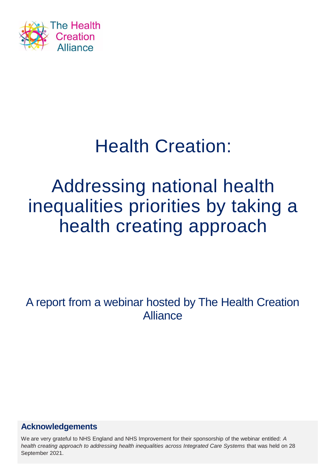

# Health Creation:

# Addressing national health inequalities priorities by taking a health creating approach

A report from a webinar hosted by The Health Creation Alliance

### **Acknowledgements**

We are very grateful to NHS England and NHS Improvement for their sponsorship of the webinar entitled: *A health creating approach to addressing health inequalities across Integrated Care Systems that was held on 28* September 2021.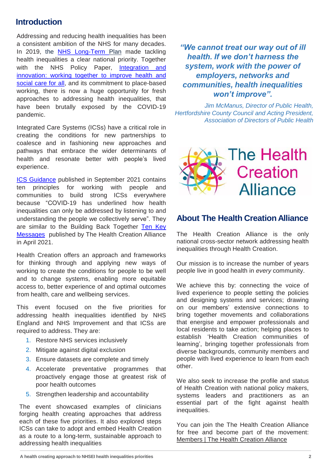#### **Introduction**

Addressing and reducing health inequalities has been a consistent ambition of the NHS for many decades. In 2019, the NHS [Long-Term](https://www.longtermplan.nhs.uk/publication/nhs-long-term-plan/) Plan made tackling health inequalities a clear national priority. Together with the NHS Policy Paper, Integration and innovation: working together to improve health and social care for all, and its commitment to [place-based](https://www.gov.uk/government/publications/working-together-to-improve-health-and-social-care-for-all/integration-and-innovation-working-together-to-improve-health-and-social-care-for-all-html-version) working, there is now a huge opportunity for fresh approaches to addressing health inequalities, that have been brutally exposed by the COVID-19 pandemic.

Integrated Care Systems (ICSs) have a critical role in creating the conditions for new partnerships to coalesce and in fashioning new approaches and pathways that embrace the wider determinants of health and resonate better with people's lived experience.

ICS [Guidance](ICS implementation guidance on working with people and communities) published in September 2021 contains ten principles for working with people and communities to build strong ICSs everywhere because "COVID-19 has underlined how health inequalities can only be addressed by listening to and understanding the people we collectively serve". They are similar to the Building Back Together Ten Key [Messages](https://thehealthcreationalliance.org/wp-content/uploads/2021/05/Building-Back-Together.pdf) published by The Health Creation Alliance in April 2021.

Health Creation offers an approach and frameworks for thinking through and applying new ways of working to create the conditions for people to be well and to change systems, enabling more equitable access to, better experience of and optimal outcomes from health, care and wellbeing services.

This event focused on the five priorities for addressing health inequalities identified by NHS England and NHS Improvement and that ICSs are required to address. They are:

- 1. Restore NHS services inclusively
- 2. Mitigate against digital exclusion
- 3. Ensure datasets are complete and timely
- 4. Accelerate preventative programmes that proactively engage those at greatest risk of poor health outcomes
- 5. Strengthen leadership and accountability

The event showcased examples of clinicians forging health creating approaches that address each of these five priorities. It also explored steps ICSs can take to adopt and embed Health Creation as a route to a long-term, sustainable approach to addressing health inequalities

*"We cannot treat our way out of ill health. If we don't harness the system, work with the power of employers, networks and communities, health inequalities won't improve".* 

*Jim McManus, Director of Public Health, Hertfordshire County Council and Acting President, Association of Directors of Public Health*



#### **About The Health Creation Alliance**

The Health Creation Alliance is the only national cross-sector network addressing health inequalities through Health Creation.

Our mission is to increase the number of years people live in good health in *every* community.

We achieve this by: connecting the voice of lived experience to people setting the policies and designing systems and services; drawing on our members' extensive connections to bring together movements and collaborations that energise and empower professionals and local residents to take action; helping places to establish 'Health Creation communities of learning', bringing together professionals from diverse backgrounds, community members and people with lived experience to learn from each other.

We also seek to increase the profile and status of Health Creation with national policy makers, systems leaders and practitioners as an essential part of the fight against health inequalities.

You can join the The Health Creation Alliance for free and become part of the movement: [Members](https://thehealthcreationalliance.org/members/) | The Health Creation Alliance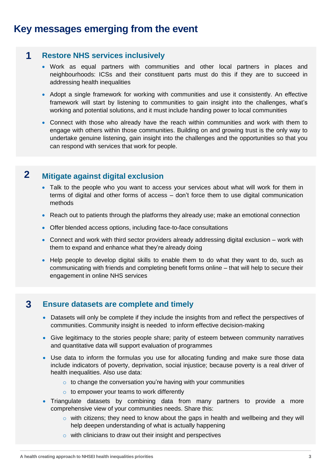### **Key messages emerging from the event**

#### **Restore NHS services inclusively 1**

- Work as equal partners with communities and other local partners in places and neighbourhoods: ICSs and their constituent parts must do this if they are to succeed in addressing health inequalities
- Adopt a single framework for working with communities and use it consistently. An effective framework will start by listening to communities to gain insight into the challenges, what's working and potential solutions, and it must include handing power to local communities
- Connect with those who already have the reach within communities and work with them to engage with others within those communities. Building on and growing trust is the only way to undertake genuine listening, gain insight into the challenges and the opportunities so that you can respond with services that work for people.

#### **2 Mitigate against digital exclusion**

- Talk to the people who you want to access your services about what will work for them in terms of digital and other forms of access – don't force them to use digital communication methods
- Reach out to patients through the platforms they already use; make an emotional connection
- Offer blended access options, including face-to-face consultations
- Connect and work with third sector providers already addressing digital exclusion work with them to expand and enhance what they're already doing
- Help people to develop digital skills to enable them to do what they want to do, such as communicating with friends and completing benefit forms online – that will help to secure their engagement in online NHS services

#### **3 Ensure datasets are complete and timely**

- Datasets will only be complete if they include the insights from and reflect the perspectives of communities. Community insight is needed to inform effective decision-making
- Give legitimacy to the stories people share; parity of esteem between community narratives and quantitative data will support evaluation of programmes
- Use data to inform the formulas you use for allocating funding and make sure those data include indicators of poverty, deprivation, social injustice; because poverty is a real driver of health inequalities. Also use data:
	- $\circ$  to change the conversation you're having with your communities
	- $\circ$  to empower your teams to work differently
- Triangulate datasets by combining data from many partners to provide a more comprehensive view of your communities needs. Share this:
	- $\circ$  with citizens; they need to know about the gaps in health and wellbeing and they will help deepen understanding of what is actually happening
	- $\circ$  with clinicians to draw out their insight and perspectives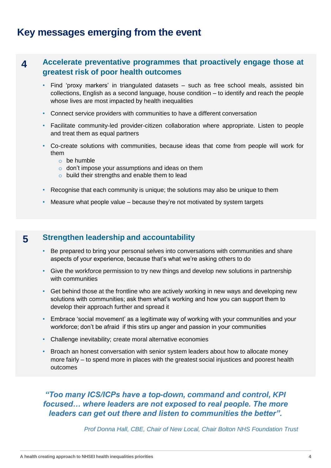### **Key messages emerging from the event**

#### **4 Accelerate preventative programmes that proactively engage those at greatest risk of poor health outcomes**

- Find 'proxy markers' in triangulated datasets such as free school meals, assisted bin collections, English as a second language, house condition – to identify and reach the people whose lives are most impacted by health inequalities
- Connect service providers with communities to have a different conversation
- Facilitate community-led provider-citizen collaboration where appropriate. Listen to people and treat them as equal partners
- Co-create solutions with communities, because ideas that come from people will work for them
	- o be humble
	- $\circ$  don't impose your assumptions and ideas on them
	- o build their strengths and enable them to lead
- Recognise that each community is unique; the solutions may also be unique to them
- Measure what people value because they're not motivated by system targets

#### **5 Strengthen leadership and accountability**

- Be prepared to bring your personal selves into conversations with communities and share aspects of your experience, because that's what we're asking others to do
- Give the workforce permission to try new things and develop new solutions in partnership with communities
- Get behind those at the frontline who are actively working in new ways and developing new solutions with communities; ask them what's working and how you can support them to develop their approach further and spread it
- Embrace 'social movement' as a legitimate way of working with your communities and your workforce; don't be afraid if this stirs up anger and passion in your communities
- Challenge inevitability; create moral alternative economies
- Broach an honest conversation with senior system leaders about how to allocate money more fairly – to spend more in places with the greatest social injustices and poorest health outcomes

*"Too many ICS/ICPs have a top-down, command and control, KPI focused… where leaders are not exposed to real people. The more leaders can get out there and listen to communities the better".* 

*Prof Donna Hall, CBE, Chair of New Local, Chair Bolton NHS Foundation Trust*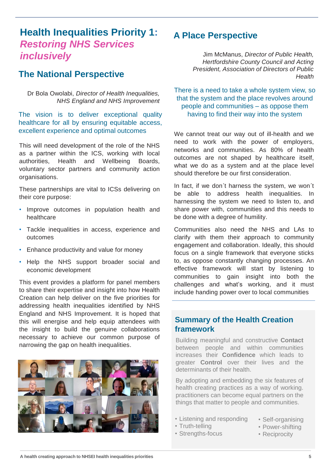### **Health Inequalities Priority 1:**  *Restoring NHS Services inclusively*

### **The National Perspective**

Dr Bola Owolabi, *Director of Health Inequalities, NHS England and NHS Improvement*

The vision is to deliver exceptional quality healthcare for all by ensuring equitable access, excellent experience and optimal outcomes

This will need development of the role of the NHS as a partner within the ICS, working with local authorities, Health and Wellbeing Boards, voluntary sector partners and community action organisations.

These partnerships are vital to ICSs delivering on their core purpose:

- Improve outcomes in population health and healthcare
- Tackle inequalities in access, experience and outcomes
- Enhance productivity and value for money
- Help the NHS support broader social and economic development

This event provides a platform for panel members to share their expertise and insight into how Health Creation can help deliver on the five priorities for addressing health inequalities identified by NHS England and NHS Improvement. It is hoped that this will energise and help equip attendees with the insight to build the genuine collaborations necessary to achieve our common purpose of narrowing the gap on health inequalities.



### **A Place Perspective**

Jim McManus, *Director of Public Health, Hertfordshire County Council and Acting President, Association of Directors of Public Health*

There is a need to take a whole system view, so that the system and the place revolves around people and communities – as oppose them having to find their way into the system

We cannot treat our way out of ill-health and we need to work with the power of employers, networks and communities. As 80% of health outcomes are not shaped by healthcare itself, what we do as a system and at the place level should therefore be our first consideration.

In fact, if we don´t harness the system, we won´t be able to address health inequalities. In harnessing the system we need to listen to, and share power with, communities and this needs to be done with a degree of humility.

Communities also need the NHS and LAs to clarify with them their approach to community engagement and collaboration. Ideally, this should focus on a single framework that everyone sticks to, as oppose constantly changing processes. An effective framework will start by listening to communities to gain insight into both the challenges and what's working, and it must include handing power over to local communities

#### **Summary of the Health Creation framework**

Building meaningful and constructive **Contact** between people and within communities increases their **Confidence** which leads to greater **Control** over their lives and the determinants of their health.

By adopting and embedding the six features of health creating practices as a way of working. practitioners can become equal partners on the things that matter to people and communities.

- Listening and responding
- Truth-telling
- Strengths-focus
- Self-organising
- Power-shifting
- Reciprocity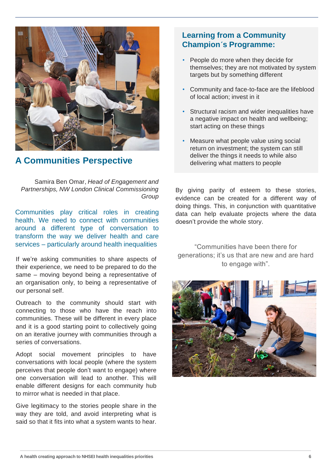

### **A Communities Perspective**

Samira Ben Omar, *Head of Engagement and Partnerships, NW London Clinical Commissioning Group*

Communities play critical roles in creating health. We need to connect with communities around a different type of conversation to transform the way we deliver health and care services – particularly around health inequalities

If we're asking communities to share aspects of their experience, we need to be prepared to do the same – moving beyond being a representative of an organisation only, to being a representative of our personal self.

Outreach to the community should start with connecting to those who have the reach into communities. These will be different in every place and it is a good starting point to collectively going on an iterative journey with communities through a series of conversations.

Adopt social movement principles to have conversations with local people (where the system perceives that people don't want to engage) where one conversation will lead to another. This will enable different designs for each community hub to mirror what is needed in that place.

Give legitimacy to the stories people share in the way they are told, and avoid interpreting what is said so that it fits into what a system wants to hear.

#### **Learning from a Community Champion´s Programme:**

- People do more when they decide for themselves; they are not motivated by system targets but by something different
- Community and face-to-face are the lifeblood of local action; invest in it
- Structural racism and wider inequalities have a negative impact on health and wellbeing; start acting on these things
- Measure what people value using social return on investment; the system can still deliver the things it needs to while also delivering what matters to people

By giving parity of esteem to these stories, evidence can be created for a different way of doing things. This, in conjunction with quantitative data can help evaluate projects where the data doesn't provide the whole story.

"Communities have been there for generations; it's us that are new and are hard to engage with".

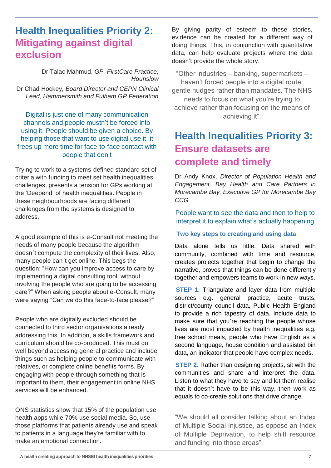### **Health Inequalities Priority 2: Mitigating against digital exclusion**

Dr Talac Mahmud, *GP, FirstCare Practice, Hounslow*  Dr Chad Hockey*, Board Director and CEPN Clinical Lead, Hammersmith and Fulham GP Federation*

Digital is just one of many communication channels and people mustn't be forced into using it. People should be given a choice. By helping those that want to use digital use it, it frees up more time for face-to-face contact with people that don't

Trying to work to a systems-defined standard set of criteria with funding to meet set health inequalities challenges, presents a tension for GPs working at the 'Deepend' of health inequalities. People in these neighbourhoods are facing different challenges from the systems is designed to address.

A good example of this is e-Consult not meeting the needs of many people because the algorithm doesn´t compute the complexity of their lives. Also, many people can´t get online. This begs the question: "How can you improve access to care by implementing a digital consulting tool, without involving the people who are going to be accessing care?" When asking people about e-Consult, many were saying "Can we do this face-to-face please?"

People who are digitally excluded should be connected to third sector organisations already addressing this. In addition, a skills framework and curriculum should be co-produced. This must go well beyond accessing general practice and include things such as helping people to communicate with relatives, or complete online benefits forms. By engaging with people through something that is important to them, their engagement in online NHS services will be enhanced.

ONS statistics show that 15% of the population use health apps while 70% use social media. So, use those platforms that patients already use and speak to patients in a language they're familiar with to make an emotional connection.

By giving parity of esteem to these stories, evidence can be created for a different way of doing things. This, in conjunction with quantitative data, can help evaluate projects where the data doesn't provide the whole story.

"Other industries – banking, supermarkets – haven't forced people into a digital route; gentle nudges rather than mandates. The NHS needs to focus on what you're trying to achieve rather than focusing on the means of achieving it".

## **Health Inequalities Priority 3: Ensure datasets are complete and timely**

Dr Andy Knox, *Director of Population Health and Engagement, Bay Health and Care Partners in Morecambe Bay, Executive GP for Morecambe Bay CCG*

People want to see the data and then to help to interpret it to explain what's actually happening

#### **Two key steps to creating and using data**

Data alone tells us little. Data shared with community, combined with time and resource, creates projects together that begin to change the narrative, proves that things can be done differently together and empowers teams to work in new ways.

**STEP 1.** Triangulate and layer data from multiple sources e.g. general practice, acute trusts, district/county council data, Public Health England to provide a rich tapestry of data. Include data to make sure that you´re reaching the people whose lives are most impacted by health inequalities e.g. free school meals, people who have English as a second language, house condition and assisted bin data, an indicator that people have complex needs.

**STEP 2.** Rather than designing projects, sit with the communities and share and interpret the data. Listen to what they have to say and let them realise that it doesn´t have to be this way, then work as equals to co-create solutions that drive change.

"We should all consider talking about an Index of Multiple Social Injustice, as oppose an Index of Multiple Deprivation, to help shift resource and funding into those areas".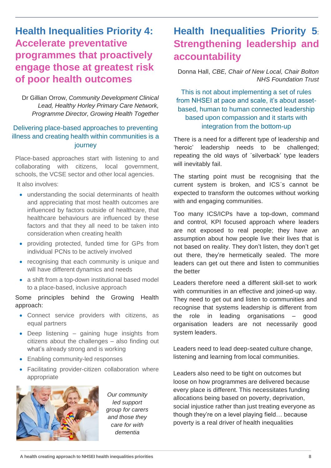### **Health Inequalities Priority 4: Accelerate preventative programmes that proactively engage those at greatest risk of poor health outcomes**

Dr Gillian Orrow, *Community Development Clinical Lead, Healthy Horley Primary Care Network, Programme Director, Growing Health Together*

#### Delivering place-based approaches to preventing illness and creating health within communities is a journey

Place-based approaches start with listening to and collaborating with citizens, local government, schools, the VCSE sector and other local agencies.

It also involves:

- understanding the social determinants of health and appreciating that most health outcomes are influenced by factors outside of healthcare, that healthcare behaviours are influenced by these factors and that they all need to be taken into consideration when creating health
- providing protected, funded time for GPs from individual PCNs to be actively involved
- recognising that each community is unique and will have different dynamics and needs
- a shift from a top-down institutional based model to a place-based, inclusive approach

Some principles behind the Growing Health approach:

- Connect service providers with citizens, as equal partners
- Deep listening gaining huge insights from citizens about the challenges – also finding out what's already strong and is working
- Enabling community-led responses
- Facilitating provider-citizen collaboration where appropriate



*Our community led support group for carers and those they care for with dementia* 

### **Health Inequalities Priority 5**: **Strengthening leadership and accountability**

Donna Hall, *CBE, Chair of New Local, Chair Bolton NHS Foundation Trust* 

This is not about implementing a set of rules from NHSEI at pace and scale, it's about assetbased, human to human connected leadership based upon compassion and it starts with integration from the bottom-up

There is a need for a different type of leadership and 'heroic' leadership needs to be challenged; repeating the old ways of ´silverback' type leaders will inevitably fail.

The starting point must be recognising that the current system is broken, and ICS´s cannot be expected to transform the outcomes without working with and engaging communities.

Too many ICS/ICPs have a top-down, command and control, KPI focused approach where leaders are not exposed to real people; they have an assumption about how people live their lives that is not based on reality. They don't listen, they don't get out there, they're hermetically sealed. The more leaders can get out there and listen to communities the better

Leaders therefore need a different skill-set to work with communities in an effective and joined-up way. They need to get out and listen to communities and recognise that systems leadership is different from the role in leading organisations – good organisation leaders are not necessarily good system leaders.

Leaders need to lead deep-seated culture change, listening and learning from local communities.

Leaders also need to be tight on outcomes but loose on how programmes are delivered because every place is different. This necessitates funding allocations being based on poverty, deprivation, social injustice rather than just treating everyone as though they're on a level playing field… because poverty is a real driver of health inequalities